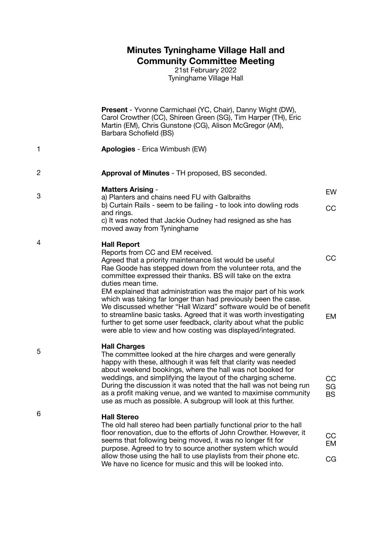## **Minutes Tyninghame Village Hall and Community Committee Meeting**

21st February 2022 Tyninghame Village Hall

**Present** - Yvonne Carmichael (YC, Chair), Danny Wight (DW), Carol Crowther (CC), Shireen Green (SG), Tim Harper (TH), Eric Martin (EM), Chris Gunstone (CG), Alison McGregor (AM), Barbara Schofield (BS)

- 1 **Apologies** - Erica Wimbush (EW)
- 2 **Approval of Minutes** - TH proposed, BS seconded.
	- **Matters Arising** a) Planters and chains need FU with Galbraiths b) Curtain Rails - seem to be failing - to look into dowling rods and rings. c) It was noted that Jackie Oudney had resigned as she has moved away from Tyninghame EW CC
- 4 **Hall Report**

Reports from CC and EM received. Agreed that a priority maintenance list would be useful Rae Goode has stepped down from the volunteer rota, and the committee expressed their thanks. BS will take on the extra duties mean time. EM explained that administration was the major part of his work which was taking far longer than had previously been the case. We discussed whether "Hall Wizard" software would be of benefit to streamline basic tasks. Agreed that it was worth investigating further to get some user feedback, clarity about what the public were able to view and how costing was displayed/integrated. CC EM

5

3

### **Hall Charges**

The committee looked at the hire charges and were generally happy with these, although it was felt that clarity was needed about weekend bookings, where the hall was not booked for weddings, and simplifying the layout of the charging scheme. During the discussion it was noted that the hall was not being run as a profit making venue, and we wanted to maximise community use as much as possible. A subgroup will look at this further.

CC SG BS

#### 6 **Hall Stereo**

The old hall stereo had been partially functional prior to the hall floor renovation, due to the efforts of John Crowther. However, it seems that following being moved, it was no longer fit for purpose. Agreed to try to source another system which would allow those using the hall to use playlists from their phone etc. We have no licence for music and this will be looked into. **CC** EM CG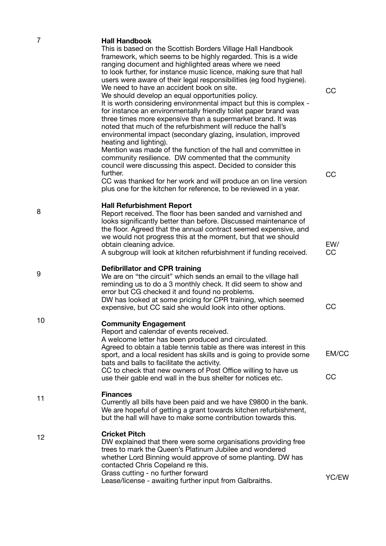| $\overline{7}$ | <b>Hall Handbook</b><br>This is based on the Scottish Borders Village Hall Handbook<br>framework, which seems to be highly regarded. This is a wide<br>ranging document and highlighted areas where we need<br>to look further, for instance music licence, making sure that hall<br>users were aware of their legal responsibilities (eg food hygiene).<br>We need to have an accident book on site.<br>We should develop an equal opportunities policy.<br>It is worth considering environmental impact but this is complex -<br>for instance an environmentally friendly toilet paper brand was<br>three times more expensive than a supermarket brand. It was<br>noted that much of the refurbishment will reduce the hall's<br>environmental impact (secondary glazing, insulation, improved | CC               |
|----------------|---------------------------------------------------------------------------------------------------------------------------------------------------------------------------------------------------------------------------------------------------------------------------------------------------------------------------------------------------------------------------------------------------------------------------------------------------------------------------------------------------------------------------------------------------------------------------------------------------------------------------------------------------------------------------------------------------------------------------------------------------------------------------------------------------|------------------|
|                | heating and lighting).<br>Mention was made of the function of the hall and committee in<br>community resilience. DW commented that the community<br>council were discussing this aspect. Decided to consider this<br>further.<br>CC was thanked for her work and will produce an on line version<br>plus one for the kitchen for reference, to be reviewed in a year.                                                                                                                                                                                                                                                                                                                                                                                                                             | CC               |
| 8              | <b>Hall Refurbishment Report</b><br>Report received. The floor has been sanded and varnished and<br>looks significantly better than before. Discussed maintenance of<br>the floor. Agreed that the annual contract seemed expensive, and<br>we would not progress this at the moment, but that we should<br>obtain cleaning advice.<br>A subgroup will look at kitchen refurbishment if funding received.                                                                                                                                                                                                                                                                                                                                                                                         | EW/<br><b>CC</b> |
| 9              | <b>Defibrillator and CPR training</b><br>We are on "the circuit" which sends an email to the village hall<br>reminding us to do a 3 monthly check. It did seem to show and<br>error but CG checked it and found no problems.<br>DW has looked at some pricing for CPR training, which seemed<br>expensive, but CC said she would look into other options.                                                                                                                                                                                                                                                                                                                                                                                                                                         | CC               |
| 10             | <b>Community Engagement</b><br>Report and calendar of events received.<br>A welcome letter has been produced and circulated.<br>Agreed to obtain a table tennis table as there was interest in this<br>sport, and a local resident has skills and is going to provide some<br>bats and balls to facilitate the activity.<br>CC to check that new owners of Post Office willing to have us<br>use their gable end wall in the bus shelter for notices etc.                                                                                                                                                                                                                                                                                                                                         | EM/CC<br>CC      |
| 11             | <b>Finances</b><br>Currently all bills have been paid and we have £9800 in the bank.<br>We are hopeful of getting a grant towards kitchen refurbishment,<br>but the hall will have to make some contribution towards this.                                                                                                                                                                                                                                                                                                                                                                                                                                                                                                                                                                        |                  |
| 12             | <b>Cricket Pitch</b><br>DW explained that there were some organisations providing free<br>trees to mark the Queen's Platinum Jubilee and wondered<br>whether Lord Binning would approve of some planting. DW has<br>contacted Chris Copeland re this.<br>Grass cutting - no further forward<br>Lease/license - awaiting further input from Galbraiths.                                                                                                                                                                                                                                                                                                                                                                                                                                            | YC/EW            |